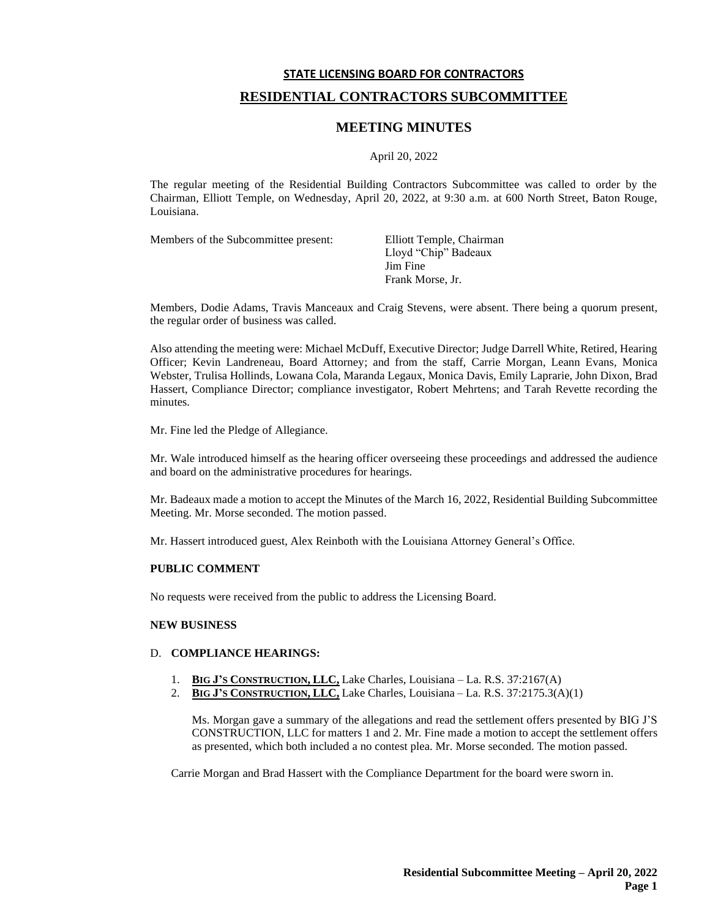# **STATE LICENSING BOARD FOR CONTRACTORS RESIDENTIAL CONTRACTORS SUBCOMMITTEE**

# **MEETING MINUTES**

#### April 20, 2022

The regular meeting of the Residential Building Contractors Subcommittee was called to order by the Chairman, Elliott Temple, on Wednesday, April 20, 2022, at 9:30 a.m. at 600 North Street, Baton Rouge, Louisiana.

Members of the Subcommittee present: Elliott Temple, Chairman

Lloyd "Chip" Badeaux Jim Fine Frank Morse, Jr.

Members, Dodie Adams, Travis Manceaux and Craig Stevens, were absent. There being a quorum present, the regular order of business was called.

Also attending the meeting were: Michael McDuff, Executive Director; Judge Darrell White, Retired, Hearing Officer; Kevin Landreneau, Board Attorney; and from the staff, Carrie Morgan, Leann Evans, Monica Webster, Trulisa Hollinds, Lowana Cola, Maranda Legaux, Monica Davis, Emily Laprarie, John Dixon, Brad Hassert, Compliance Director; compliance investigator, Robert Mehrtens; and Tarah Revette recording the minutes.

Mr. Fine led the Pledge of Allegiance.

Mr. Wale introduced himself as the hearing officer overseeing these proceedings and addressed the audience and board on the administrative procedures for hearings.

Mr. Badeaux made a motion to accept the Minutes of the March 16, 2022, Residential Building Subcommittee Meeting. Mr. Morse seconded. The motion passed.

Mr. Hassert introduced guest, Alex Reinboth with the Louisiana Attorney General's Office.

### **PUBLIC COMMENT**

No requests were received from the public to address the Licensing Board.

#### **NEW BUSINESS**

#### D. **COMPLIANCE HEARINGS:**

- 1. **BIG J'S CONSTRUCTION, LLC,** Lake Charles, Louisiana La. R.S. 37:2167(A)
- 2. **BIG J'S CONSTRUCTION, LLC,** Lake Charles, Louisiana La. R.S. 37:2175.3(A)(1)

Ms. Morgan gave a summary of the allegations and read the settlement offers presented by BIG J'S CONSTRUCTION, LLC for matters 1 and 2. Mr. Fine made a motion to accept the settlement offers as presented, which both included a no contest plea. Mr. Morse seconded. The motion passed.

Carrie Morgan and Brad Hassert with the Compliance Department for the board were sworn in.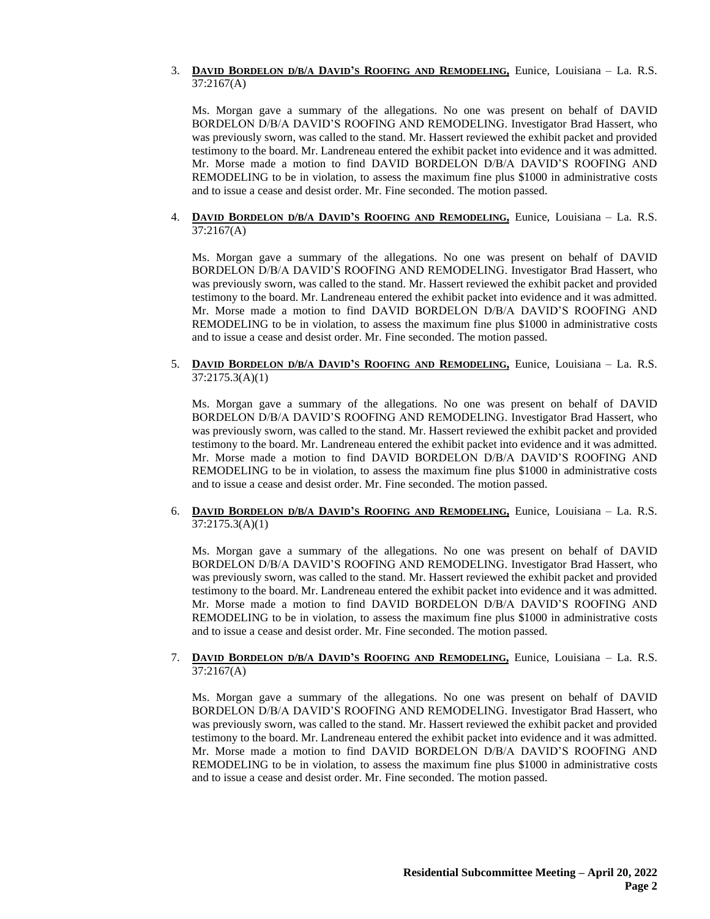### 3. **DAVID BORDELON D/B/A DAVID'S ROOFING AND REMODELING,** Eunice, Louisiana – La. R.S. 37:2167(A)

Ms. Morgan gave a summary of the allegations. No one was present on behalf of DAVID BORDELON D/B/A DAVID'S ROOFING AND REMODELING. Investigator Brad Hassert, who was previously sworn, was called to the stand. Mr. Hassert reviewed the exhibit packet and provided testimony to the board. Mr. Landreneau entered the exhibit packet into evidence and it was admitted. Mr. Morse made a motion to find DAVID BORDELON D/B/A DAVID'S ROOFING AND REMODELING to be in violation, to assess the maximum fine plus \$1000 in administrative costs and to issue a cease and desist order. Mr. Fine seconded. The motion passed.

#### 4. **DAVID BORDELON D/B/A DAVID'S ROOFING AND REMODELING,** Eunice, Louisiana – La. R.S. 37:2167(A)

Ms. Morgan gave a summary of the allegations. No one was present on behalf of DAVID BORDELON D/B/A DAVID'S ROOFING AND REMODELING. Investigator Brad Hassert, who was previously sworn, was called to the stand. Mr. Hassert reviewed the exhibit packet and provided testimony to the board. Mr. Landreneau entered the exhibit packet into evidence and it was admitted. Mr. Morse made a motion to find DAVID BORDELON D/B/A DAVID'S ROOFING AND REMODELING to be in violation, to assess the maximum fine plus \$1000 in administrative costs and to issue a cease and desist order. Mr. Fine seconded. The motion passed.

### 5. **DAVID BORDELON D/B/A DAVID'S ROOFING AND REMODELING,** Eunice, Louisiana – La. R.S. 37:2175.3(A)(1)

Ms. Morgan gave a summary of the allegations. No one was present on behalf of DAVID BORDELON D/B/A DAVID'S ROOFING AND REMODELING. Investigator Brad Hassert, who was previously sworn, was called to the stand. Mr. Hassert reviewed the exhibit packet and provided testimony to the board. Mr. Landreneau entered the exhibit packet into evidence and it was admitted. Mr. Morse made a motion to find DAVID BORDELON D/B/A DAVID'S ROOFING AND REMODELING to be in violation, to assess the maximum fine plus \$1000 in administrative costs and to issue a cease and desist order. Mr. Fine seconded. The motion passed.

# 6. **DAVID BORDELON D/B/A DAVID'S ROOFING AND REMODELING,** Eunice, Louisiana – La. R.S. 37:2175.3(A)(1)

Ms. Morgan gave a summary of the allegations. No one was present on behalf of DAVID BORDELON D/B/A DAVID'S ROOFING AND REMODELING. Investigator Brad Hassert, who was previously sworn, was called to the stand. Mr. Hassert reviewed the exhibit packet and provided testimony to the board. Mr. Landreneau entered the exhibit packet into evidence and it was admitted. Mr. Morse made a motion to find DAVID BORDELON D/B/A DAVID'S ROOFING AND REMODELING to be in violation, to assess the maximum fine plus \$1000 in administrative costs and to issue a cease and desist order. Mr. Fine seconded. The motion passed.

# 7. **DAVID BORDELON D/B/A DAVID'S ROOFING AND REMODELING,** Eunice, Louisiana – La. R.S. 37:2167(A)

Ms. Morgan gave a summary of the allegations. No one was present on behalf of DAVID BORDELON D/B/A DAVID'S ROOFING AND REMODELING. Investigator Brad Hassert, who was previously sworn, was called to the stand. Mr. Hassert reviewed the exhibit packet and provided testimony to the board. Mr. Landreneau entered the exhibit packet into evidence and it was admitted. Mr. Morse made a motion to find DAVID BORDELON D/B/A DAVID'S ROOFING AND REMODELING to be in violation, to assess the maximum fine plus \$1000 in administrative costs and to issue a cease and desist order. Mr. Fine seconded. The motion passed.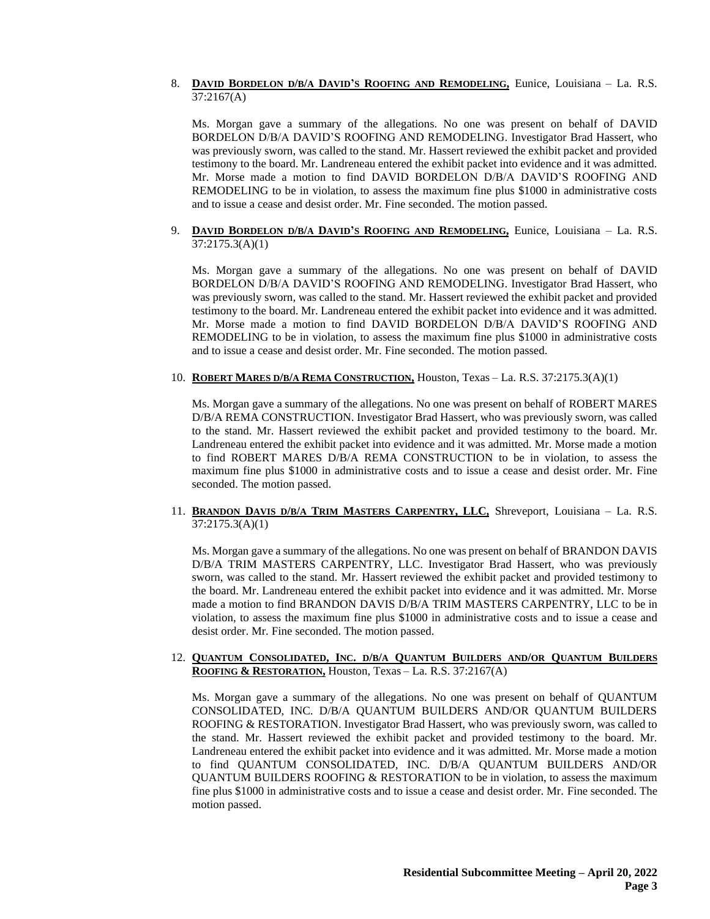### 8. **DAVID BORDELON D/B/A DAVID'S ROOFING AND REMODELING,** Eunice, Louisiana – La. R.S. 37:2167(A)

Ms. Morgan gave a summary of the allegations. No one was present on behalf of DAVID BORDELON D/B/A DAVID'S ROOFING AND REMODELING. Investigator Brad Hassert, who was previously sworn, was called to the stand. Mr. Hassert reviewed the exhibit packet and provided testimony to the board. Mr. Landreneau entered the exhibit packet into evidence and it was admitted. Mr. Morse made a motion to find DAVID BORDELON D/B/A DAVID'S ROOFING AND REMODELING to be in violation, to assess the maximum fine plus \$1000 in administrative costs and to issue a cease and desist order. Mr. Fine seconded. The motion passed.

### 9. **DAVID BORDELON D/B/A DAVID'S ROOFING AND REMODELING,** Eunice, Louisiana – La. R.S. 37:2175.3(A)(1)

Ms. Morgan gave a summary of the allegations. No one was present on behalf of DAVID BORDELON D/B/A DAVID'S ROOFING AND REMODELING. Investigator Brad Hassert, who was previously sworn, was called to the stand. Mr. Hassert reviewed the exhibit packet and provided testimony to the board. Mr. Landreneau entered the exhibit packet into evidence and it was admitted. Mr. Morse made a motion to find DAVID BORDELON D/B/A DAVID'S ROOFING AND REMODELING to be in violation, to assess the maximum fine plus \$1000 in administrative costs and to issue a cease and desist order. Mr. Fine seconded. The motion passed.

# 10. **ROBERT MARES D/B/A REMA CONSTRUCTION,** Houston, Texas – La. R.S. 37:2175.3(A)(1)

Ms. Morgan gave a summary of the allegations. No one was present on behalf of ROBERT MARES D/B/A REMA CONSTRUCTION. Investigator Brad Hassert, who was previously sworn, was called to the stand. Mr. Hassert reviewed the exhibit packet and provided testimony to the board. Mr. Landreneau entered the exhibit packet into evidence and it was admitted. Mr. Morse made a motion to find ROBERT MARES D/B/A REMA CONSTRUCTION to be in violation, to assess the maximum fine plus \$1000 in administrative costs and to issue a cease and desist order. Mr. Fine seconded. The motion passed.

# 11. **BRANDON DAVIS D/B/A TRIM MASTERS CARPENTRY, LLC,** Shreveport, Louisiana – La. R.S. 37:2175.3(A)(1)

Ms. Morgan gave a summary of the allegations. No one was present on behalf of BRANDON DAVIS D/B/A TRIM MASTERS CARPENTRY, LLC. Investigator Brad Hassert, who was previously sworn, was called to the stand. Mr. Hassert reviewed the exhibit packet and provided testimony to the board. Mr. Landreneau entered the exhibit packet into evidence and it was admitted. Mr. Morse made a motion to find BRANDON DAVIS D/B/A TRIM MASTERS CARPENTRY, LLC to be in violation, to assess the maximum fine plus \$1000 in administrative costs and to issue a cease and desist order. Mr. Fine seconded. The motion passed.

### 12. QUANTUM CONSOLIDATED, INC. D/B/A QUANTUM BUILDERS AND/OR QUANTUM BUILDERS **ROOFING & RESTORATION,** Houston, Texas – La. R.S. 37:2167(A)

Ms. Morgan gave a summary of the allegations. No one was present on behalf of QUANTUM CONSOLIDATED, INC. D/B/A QUANTUM BUILDERS AND/OR QUANTUM BUILDERS ROOFING & RESTORATION. Investigator Brad Hassert, who was previously sworn, was called to the stand. Mr. Hassert reviewed the exhibit packet and provided testimony to the board. Mr. Landreneau entered the exhibit packet into evidence and it was admitted. Mr. Morse made a motion to find QUANTUM CONSOLIDATED, INC. D/B/A QUANTUM BUILDERS AND/OR QUANTUM BUILDERS ROOFING & RESTORATION to be in violation, to assess the maximum fine plus \$1000 in administrative costs and to issue a cease and desist order. Mr. Fine seconded. The motion passed.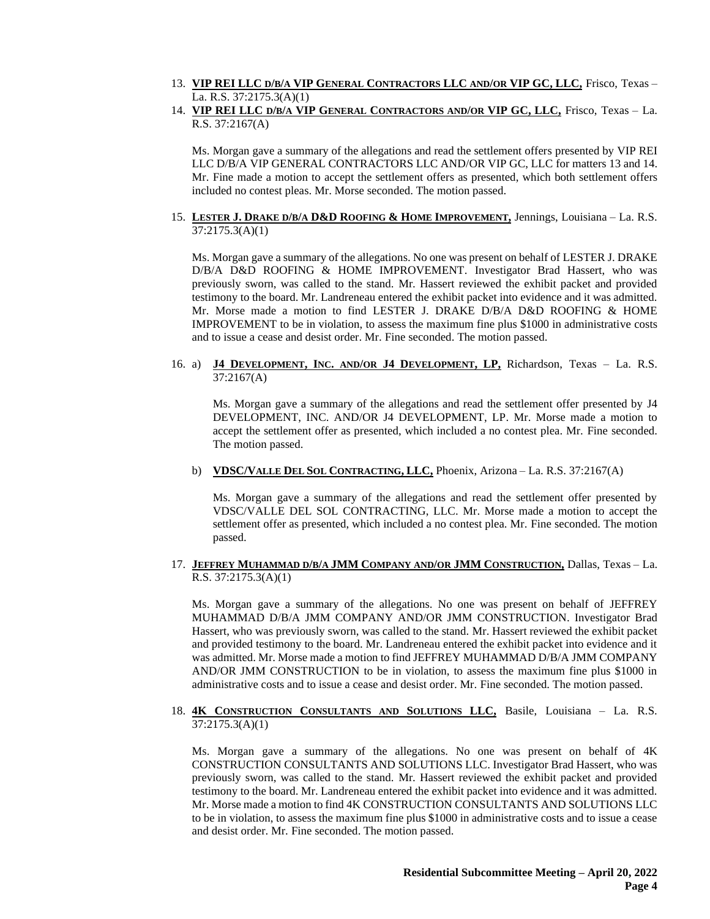- 13. VIP REI LLC D/B/A VIP GENERAL CONTRACTORS LLC AND/OR VIP GC, LLC, Frisco, Texas -La. R.S. 37:2175.3(A)(1)
- 14. **VIP REI LLC D/B/A VIP GENERAL CONTRACTORS AND/OR VIP GC, LLC,** Frisco, Texas La. R.S. 37:2167(A)

Ms. Morgan gave a summary of the allegations and read the settlement offers presented by VIP REI LLC D/B/A VIP GENERAL CONTRACTORS LLC AND/OR VIP GC, LLC for matters 13 and 14. Mr. Fine made a motion to accept the settlement offers as presented, which both settlement offers included no contest pleas. Mr. Morse seconded. The motion passed.

### 15. **LESTER J. DRAKE D/B/A D&D ROOFING & HOME IMPROVEMENT,** Jennings, Louisiana – La. R.S. 37:2175.3(A)(1)

Ms. Morgan gave a summary of the allegations. No one was present on behalf of LESTER J. DRAKE D/B/A D&D ROOFING & HOME IMPROVEMENT. Investigator Brad Hassert, who was previously sworn, was called to the stand. Mr. Hassert reviewed the exhibit packet and provided testimony to the board. Mr. Landreneau entered the exhibit packet into evidence and it was admitted. Mr. Morse made a motion to find LESTER J. DRAKE D/B/A D&D ROOFING & HOME IMPROVEMENT to be in violation, to assess the maximum fine plus \$1000 in administrative costs and to issue a cease and desist order. Mr. Fine seconded. The motion passed.

# 16. a) **J4 DEVELOPMENT, INC. AND/OR J4 DEVELOPMENT, LP,** Richardson, Texas – La. R.S. 37:2167(A)

Ms. Morgan gave a summary of the allegations and read the settlement offer presented by J4 DEVELOPMENT, INC. AND/OR J4 DEVELOPMENT, LP. Mr. Morse made a motion to accept the settlement offer as presented, which included a no contest plea. Mr. Fine seconded. The motion passed.

# b) **VDSC/VALLE DEL SOL CONTRACTING, LLC,** Phoenix, Arizona – La. R.S. 37:2167(A)

Ms. Morgan gave a summary of the allegations and read the settlement offer presented by VDSC/VALLE DEL SOL CONTRACTING, LLC. Mr. Morse made a motion to accept the settlement offer as presented, which included a no contest plea. Mr. Fine seconded. The motion passed.

### 17. **JEFFREY MUHAMMAD D/B/A JMM COMPANY AND/OR JMM CONSTRUCTION,** Dallas, Texas – La. R.S. 37:2175.3(A)(1)

Ms. Morgan gave a summary of the allegations. No one was present on behalf of JEFFREY MUHAMMAD D/B/A JMM COMPANY AND/OR JMM CONSTRUCTION. Investigator Brad Hassert, who was previously sworn, was called to the stand. Mr. Hassert reviewed the exhibit packet and provided testimony to the board. Mr. Landreneau entered the exhibit packet into evidence and it was admitted. Mr. Morse made a motion to find JEFFREY MUHAMMAD D/B/A JMM COMPANY AND/OR JMM CONSTRUCTION to be in violation, to assess the maximum fine plus \$1000 in administrative costs and to issue a cease and desist order. Mr. Fine seconded. The motion passed.

# 18. **4K CONSTRUCTION CONSULTANTS AND SOLUTIONS LLC,** Basile, Louisiana – La. R.S. 37:2175.3(A)(1)

Ms. Morgan gave a summary of the allegations. No one was present on behalf of 4K CONSTRUCTION CONSULTANTS AND SOLUTIONS LLC. Investigator Brad Hassert, who was previously sworn, was called to the stand. Mr. Hassert reviewed the exhibit packet and provided testimony to the board. Mr. Landreneau entered the exhibit packet into evidence and it was admitted. Mr. Morse made a motion to find 4K CONSTRUCTION CONSULTANTS AND SOLUTIONS LLC to be in violation, to assess the maximum fine plus \$1000 in administrative costs and to issue a cease and desist order. Mr. Fine seconded. The motion passed.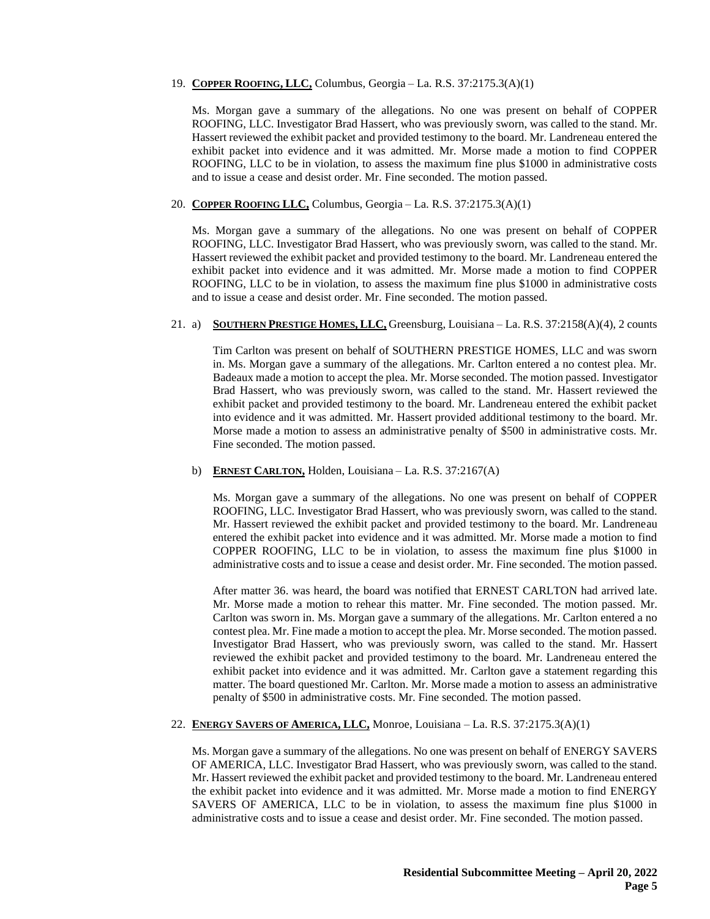#### 19. **COPPER ROOFING, LLC,** Columbus, Georgia – La. R.S. 37:2175.3(A)(1)

Ms. Morgan gave a summary of the allegations. No one was present on behalf of COPPER ROOFING, LLC. Investigator Brad Hassert, who was previously sworn, was called to the stand. Mr. Hassert reviewed the exhibit packet and provided testimony to the board. Mr. Landreneau entered the exhibit packet into evidence and it was admitted. Mr. Morse made a motion to find COPPER ROOFING, LLC to be in violation, to assess the maximum fine plus \$1000 in administrative costs and to issue a cease and desist order. Mr. Fine seconded. The motion passed.

### 20. **COPPER ROOFING LLC,** Columbus, Georgia – La. R.S. 37:2175.3(A)(1)

Ms. Morgan gave a summary of the allegations. No one was present on behalf of COPPER ROOFING, LLC. Investigator Brad Hassert, who was previously sworn, was called to the stand. Mr. Hassert reviewed the exhibit packet and provided testimony to the board. Mr. Landreneau entered the exhibit packet into evidence and it was admitted. Mr. Morse made a motion to find COPPER ROOFING, LLC to be in violation, to assess the maximum fine plus \$1000 in administrative costs and to issue a cease and desist order. Mr. Fine seconded. The motion passed.

#### 21. a) **SOUTHERN PRESTIGE HOMES, LLC,** Greensburg, Louisiana – La. R.S. 37:2158(A)(4), 2 counts

Tim Carlton was present on behalf of SOUTHERN PRESTIGE HOMES, LLC and was sworn in. Ms. Morgan gave a summary of the allegations. Mr. Carlton entered a no contest plea. Mr. Badeaux made a motion to accept the plea. Mr. Morse seconded. The motion passed. Investigator Brad Hassert, who was previously sworn, was called to the stand. Mr. Hassert reviewed the exhibit packet and provided testimony to the board. Mr. Landreneau entered the exhibit packet into evidence and it was admitted. Mr. Hassert provided additional testimony to the board. Mr. Morse made a motion to assess an administrative penalty of \$500 in administrative costs. Mr. Fine seconded. The motion passed.

# b) **ERNEST CARLTON,** Holden, Louisiana – La. R.S. 37:2167(A)

Ms. Morgan gave a summary of the allegations. No one was present on behalf of COPPER ROOFING, LLC. Investigator Brad Hassert, who was previously sworn, was called to the stand. Mr. Hassert reviewed the exhibit packet and provided testimony to the board. Mr. Landreneau entered the exhibit packet into evidence and it was admitted. Mr. Morse made a motion to find COPPER ROOFING, LLC to be in violation, to assess the maximum fine plus \$1000 in administrative costs and to issue a cease and desist order. Mr. Fine seconded. The motion passed.

After matter 36. was heard, the board was notified that ERNEST CARLTON had arrived late. Mr. Morse made a motion to rehear this matter. Mr. Fine seconded. The motion passed. Mr. Carlton was sworn in. Ms. Morgan gave a summary of the allegations. Mr. Carlton entered a no contest plea. Mr. Fine made a motion to accept the plea. Mr. Morse seconded. The motion passed. Investigator Brad Hassert, who was previously sworn, was called to the stand. Mr. Hassert reviewed the exhibit packet and provided testimony to the board. Mr. Landreneau entered the exhibit packet into evidence and it was admitted. Mr. Carlton gave a statement regarding this matter. The board questioned Mr. Carlton. Mr. Morse made a motion to assess an administrative penalty of \$500 in administrative costs. Mr. Fine seconded. The motion passed.

#### 22. **ENERGY SAVERS OF AMERICA, LLC,** Monroe, Louisiana – La. R.S. 37:2175.3(A)(1)

Ms. Morgan gave a summary of the allegations. No one was present on behalf of ENERGY SAVERS OF AMERICA, LLC. Investigator Brad Hassert, who was previously sworn, was called to the stand. Mr. Hassert reviewed the exhibit packet and provided testimony to the board. Mr. Landreneau entered the exhibit packet into evidence and it was admitted. Mr. Morse made a motion to find ENERGY SAVERS OF AMERICA, LLC to be in violation, to assess the maximum fine plus \$1000 in administrative costs and to issue a cease and desist order. Mr. Fine seconded. The motion passed.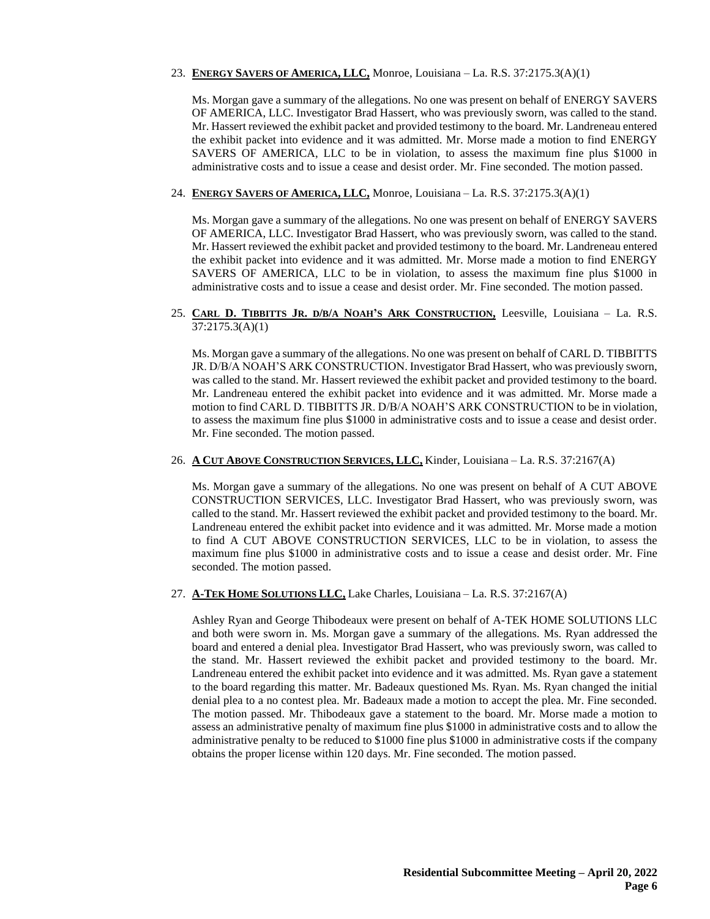### 23. **ENERGY SAVERS OF AMERICA, LLC,** Monroe, Louisiana – La. R.S. 37:2175.3(A)(1)

Ms. Morgan gave a summary of the allegations. No one was present on behalf of ENERGY SAVERS OF AMERICA, LLC. Investigator Brad Hassert, who was previously sworn, was called to the stand. Mr. Hassert reviewed the exhibit packet and provided testimony to the board. Mr. Landreneau entered the exhibit packet into evidence and it was admitted. Mr. Morse made a motion to find ENERGY SAVERS OF AMERICA, LLC to be in violation, to assess the maximum fine plus \$1000 in administrative costs and to issue a cease and desist order. Mr. Fine seconded. The motion passed.

### 24. **ENERGY SAVERS OF AMERICA, LLC,** Monroe, Louisiana – La. R.S. 37:2175.3(A)(1)

Ms. Morgan gave a summary of the allegations. No one was present on behalf of ENERGY SAVERS OF AMERICA, LLC. Investigator Brad Hassert, who was previously sworn, was called to the stand. Mr. Hassert reviewed the exhibit packet and provided testimony to the board. Mr. Landreneau entered the exhibit packet into evidence and it was admitted. Mr. Morse made a motion to find ENERGY SAVERS OF AMERICA, LLC to be in violation, to assess the maximum fine plus \$1000 in administrative costs and to issue a cease and desist order. Mr. Fine seconded. The motion passed.

# 25. CARL D. TIBBITTS JR. D/B/A NOAH'S ARK CONSTRUCTION, Leesville, Louisiana - La. R.S. 37:2175.3(A)(1)

Ms. Morgan gave a summary of the allegations. No one was present on behalf of CARL D. TIBBITTS JR. D/B/A NOAH'S ARK CONSTRUCTION. Investigator Brad Hassert, who was previously sworn, was called to the stand. Mr. Hassert reviewed the exhibit packet and provided testimony to the board. Mr. Landreneau entered the exhibit packet into evidence and it was admitted. Mr. Morse made a motion to find CARL D. TIBBITTS JR. D/B/A NOAH'S ARK CONSTRUCTION to be in violation, to assess the maximum fine plus \$1000 in administrative costs and to issue a cease and desist order. Mr. Fine seconded. The motion passed.

### 26. **A CUT ABOVE CONSTRUCTION SERVICES, LLC,** Kinder, Louisiana – La. R.S. 37:2167(A)

Ms. Morgan gave a summary of the allegations. No one was present on behalf of A CUT ABOVE CONSTRUCTION SERVICES, LLC. Investigator Brad Hassert, who was previously sworn, was called to the stand. Mr. Hassert reviewed the exhibit packet and provided testimony to the board. Mr. Landreneau entered the exhibit packet into evidence and it was admitted. Mr. Morse made a motion to find A CUT ABOVE CONSTRUCTION SERVICES, LLC to be in violation, to assess the maximum fine plus \$1000 in administrative costs and to issue a cease and desist order. Mr. Fine seconded. The motion passed.

# 27. **A-TEK HOME SOLUTIONS LLC,** Lake Charles, Louisiana – La. R.S. 37:2167(A)

Ashley Ryan and George Thibodeaux were present on behalf of A-TEK HOME SOLUTIONS LLC and both were sworn in. Ms. Morgan gave a summary of the allegations. Ms. Ryan addressed the board and entered a denial plea. Investigator Brad Hassert, who was previously sworn, was called to the stand. Mr. Hassert reviewed the exhibit packet and provided testimony to the board. Mr. Landreneau entered the exhibit packet into evidence and it was admitted. Ms. Ryan gave a statement to the board regarding this matter. Mr. Badeaux questioned Ms. Ryan. Ms. Ryan changed the initial denial plea to a no contest plea. Mr. Badeaux made a motion to accept the plea. Mr. Fine seconded. The motion passed. Mr. Thibodeaux gave a statement to the board. Mr. Morse made a motion to assess an administrative penalty of maximum fine plus \$1000 in administrative costs and to allow the administrative penalty to be reduced to \$1000 fine plus \$1000 in administrative costs if the company obtains the proper license within 120 days. Mr. Fine seconded. The motion passed.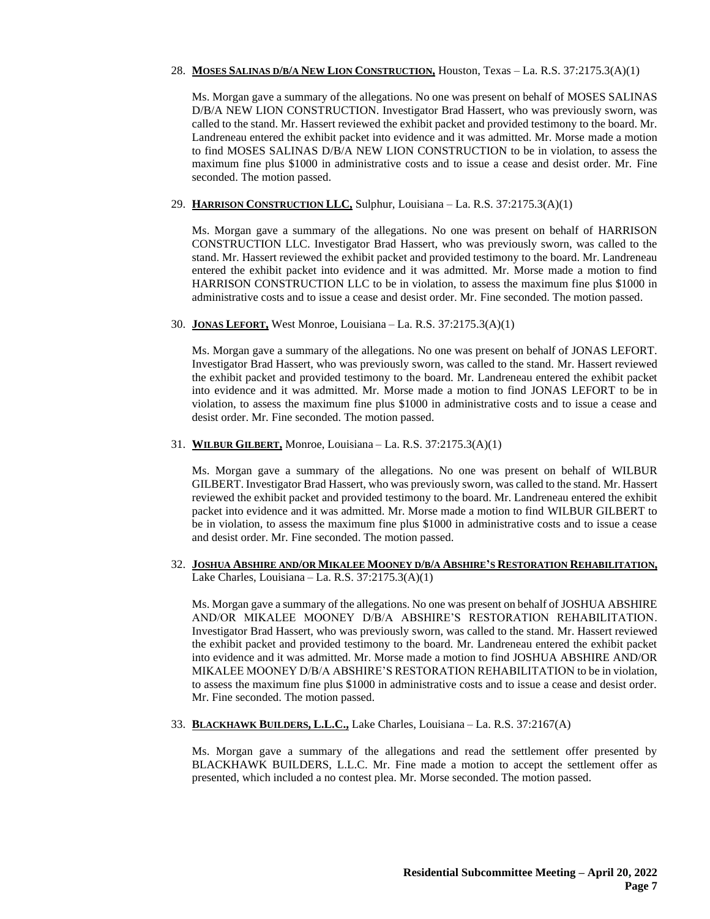# 28. **MOSES SALINAS D/B/A NEW LION CONSTRUCTION,** Houston, Texas – La. R.S. 37:2175.3(A)(1)

Ms. Morgan gave a summary of the allegations. No one was present on behalf of MOSES SALINAS D/B/A NEW LION CONSTRUCTION. Investigator Brad Hassert, who was previously sworn, was called to the stand. Mr. Hassert reviewed the exhibit packet and provided testimony to the board. Mr. Landreneau entered the exhibit packet into evidence and it was admitted. Mr. Morse made a motion to find MOSES SALINAS D/B/A NEW LION CONSTRUCTION to be in violation, to assess the maximum fine plus \$1000 in administrative costs and to issue a cease and desist order. Mr. Fine seconded. The motion passed.

### 29. **HARRISON CONSTRUCTION LLC,** Sulphur, Louisiana – La. R.S. 37:2175.3(A)(1)

Ms. Morgan gave a summary of the allegations. No one was present on behalf of HARRISON CONSTRUCTION LLC. Investigator Brad Hassert, who was previously sworn, was called to the stand. Mr. Hassert reviewed the exhibit packet and provided testimony to the board. Mr. Landreneau entered the exhibit packet into evidence and it was admitted. Mr. Morse made a motion to find HARRISON CONSTRUCTION LLC to be in violation, to assess the maximum fine plus \$1000 in administrative costs and to issue a cease and desist order. Mr. Fine seconded. The motion passed.

### 30. **JONAS LEFORT,** West Monroe, Louisiana – La. R.S. 37:2175.3(A)(1)

Ms. Morgan gave a summary of the allegations. No one was present on behalf of JONAS LEFORT. Investigator Brad Hassert, who was previously sworn, was called to the stand. Mr. Hassert reviewed the exhibit packet and provided testimony to the board. Mr. Landreneau entered the exhibit packet into evidence and it was admitted. Mr. Morse made a motion to find JONAS LEFORT to be in violation, to assess the maximum fine plus \$1000 in administrative costs and to issue a cease and desist order. Mr. Fine seconded. The motion passed.

### 31. **WILBUR GILBERT,** Monroe, Louisiana – La. R.S. 37:2175.3(A)(1)

Ms. Morgan gave a summary of the allegations. No one was present on behalf of WILBUR GILBERT. Investigator Brad Hassert, who was previously sworn, was called to the stand. Mr. Hassert reviewed the exhibit packet and provided testimony to the board. Mr. Landreneau entered the exhibit packet into evidence and it was admitted. Mr. Morse made a motion to find WILBUR GILBERT to be in violation, to assess the maximum fine plus \$1000 in administrative costs and to issue a cease and desist order. Mr. Fine seconded. The motion passed.

### 32. JOSHUA ABSHIRE AND/OR MIKALEE MOONEY D/B/A ABSHIRE'S RESTORATION REHABILITATION, Lake Charles, Louisiana – La. R.S. 37:2175.3(A)(1)

Ms. Morgan gave a summary of the allegations. No one was present on behalf of JOSHUA ABSHIRE AND/OR MIKALEE MOONEY D/B/A ABSHIRE'S RESTORATION REHABILITATION. Investigator Brad Hassert, who was previously sworn, was called to the stand. Mr. Hassert reviewed the exhibit packet and provided testimony to the board. Mr. Landreneau entered the exhibit packet into evidence and it was admitted. Mr. Morse made a motion to find JOSHUA ABSHIRE AND/OR MIKALEE MOONEY D/B/A ABSHIRE'S RESTORATION REHABILITATION to be in violation, to assess the maximum fine plus \$1000 in administrative costs and to issue a cease and desist order. Mr. Fine seconded. The motion passed.

# 33. **BLACKHAWK BUILDERS, L.L.C.,** Lake Charles, Louisiana – La. R.S. 37:2167(A)

Ms. Morgan gave a summary of the allegations and read the settlement offer presented by BLACKHAWK BUILDERS, L.L.C. Mr. Fine made a motion to accept the settlement offer as presented, which included a no contest plea. Mr. Morse seconded. The motion passed.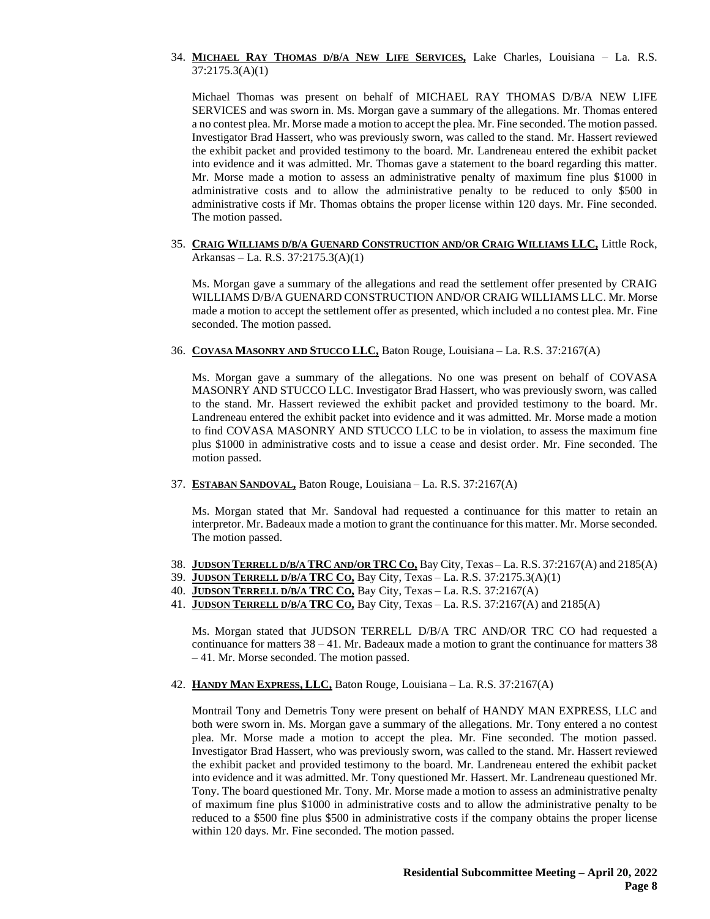### 34. **MICHAEL RAY THOMAS D/B/A NEW LIFE SERVICES,** Lake Charles, Louisiana – La. R.S. 37:2175.3(A)(1)

Michael Thomas was present on behalf of MICHAEL RAY THOMAS D/B/A NEW LIFE SERVICES and was sworn in. Ms. Morgan gave a summary of the allegations. Mr. Thomas entered a no contest plea. Mr. Morse made a motion to accept the plea. Mr. Fine seconded. The motion passed. Investigator Brad Hassert, who was previously sworn, was called to the stand. Mr. Hassert reviewed the exhibit packet and provided testimony to the board. Mr. Landreneau entered the exhibit packet into evidence and it was admitted. Mr. Thomas gave a statement to the board regarding this matter. Mr. Morse made a motion to assess an administrative penalty of maximum fine plus \$1000 in administrative costs and to allow the administrative penalty to be reduced to only \$500 in administrative costs if Mr. Thomas obtains the proper license within 120 days. Mr. Fine seconded. The motion passed.

35. **CRAIG WILLIAMS D/B/A GUENARD CONSTRUCTION AND/OR CRAIG WILLIAMS LLC,** Little Rock, Arkansas – La. R.S. 37:2175.3(A)(1)

Ms. Morgan gave a summary of the allegations and read the settlement offer presented by CRAIG WILLIAMS D/B/A GUENARD CONSTRUCTION AND/OR CRAIG WILLIAMS LLC. Mr. Morse made a motion to accept the settlement offer as presented, which included a no contest plea. Mr. Fine seconded. The motion passed.

36. **COVASA MASONRY AND STUCCO LLC,** Baton Rouge, Louisiana – La. R.S. 37:2167(A)

Ms. Morgan gave a summary of the allegations. No one was present on behalf of COVASA MASONRY AND STUCCO LLC. Investigator Brad Hassert, who was previously sworn, was called to the stand. Mr. Hassert reviewed the exhibit packet and provided testimony to the board. Mr. Landreneau entered the exhibit packet into evidence and it was admitted. Mr. Morse made a motion to find COVASA MASONRY AND STUCCO LLC to be in violation, to assess the maximum fine plus \$1000 in administrative costs and to issue a cease and desist order. Mr. Fine seconded. The motion passed.

37. **ESTABAN SANDOVAL,** Baton Rouge, Louisiana – La. R.S. 37:2167(A)

Ms. Morgan stated that Mr. Sandoval had requested a continuance for this matter to retain an interpretor. Mr. Badeaux made a motion to grant the continuance for this matter. Mr. Morse seconded. The motion passed.

- 38. **JUDSON TERRELL D/B/A TRC AND/OR TRC CO,** Bay City, Texas La. R.S. 37:2167(A) and 2185(A)
- 39. **JUDSON TERRELL D/B/A TRC CO,** Bay City, Texas La. R.S. 37:2175.3(A)(1)
- 40. **JUDSON TERRELL D/B/A TRC CO,** Bay City, Texas La. R.S. 37:2167(A)
- 41. **JUDSON TERRELL D/B/A TRC CO,** Bay City, Texas La. R.S. 37:2167(A) and 2185(A)

Ms. Morgan stated that JUDSON TERRELL D/B/A TRC AND/OR TRC CO had requested a continuance for matters 38 – 41. Mr. Badeaux made a motion to grant the continuance for matters 38 – 41. Mr. Morse seconded. The motion passed.

42. **HANDY MAN EXPRESS, LLC,** Baton Rouge, Louisiana – La. R.S. 37:2167(A)

Montrail Tony and Demetris Tony were present on behalf of HANDY MAN EXPRESS, LLC and both were sworn in. Ms. Morgan gave a summary of the allegations. Mr. Tony entered a no contest plea. Mr. Morse made a motion to accept the plea. Mr. Fine seconded. The motion passed. Investigator Brad Hassert, who was previously sworn, was called to the stand. Mr. Hassert reviewed the exhibit packet and provided testimony to the board. Mr. Landreneau entered the exhibit packet into evidence and it was admitted. Mr. Tony questioned Mr. Hassert. Mr. Landreneau questioned Mr. Tony. The board questioned Mr. Tony. Mr. Morse made a motion to assess an administrative penalty of maximum fine plus \$1000 in administrative costs and to allow the administrative penalty to be reduced to a \$500 fine plus \$500 in administrative costs if the company obtains the proper license within 120 days. Mr. Fine seconded. The motion passed.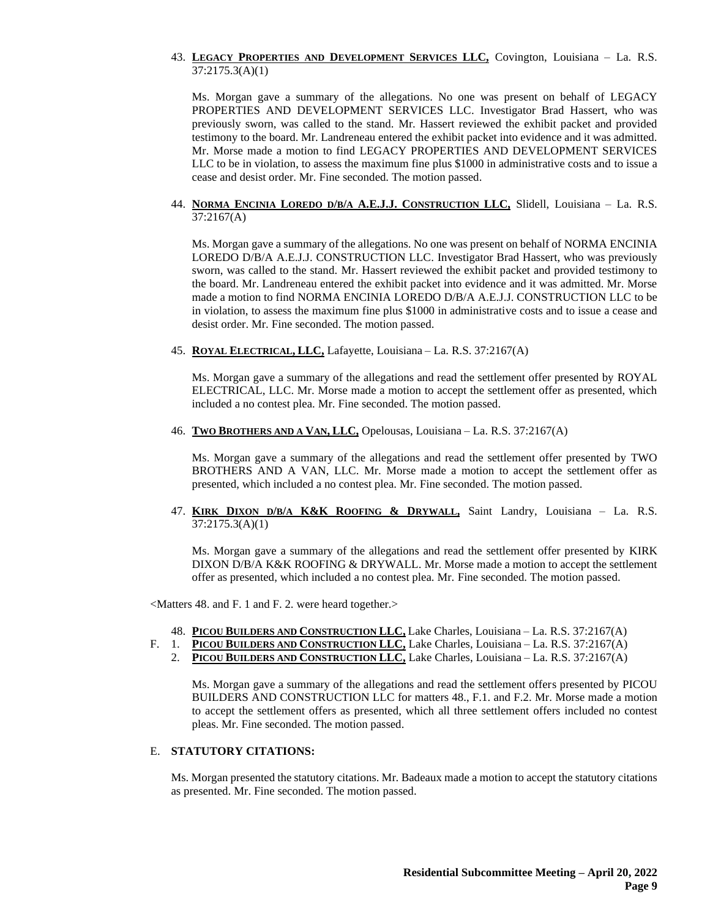### 43. **LEGACY PROPERTIES AND DEVELOPMENT SERVICES LLC,** Covington, Louisiana – La. R.S. 37:2175.3(A)(1)

Ms. Morgan gave a summary of the allegations. No one was present on behalf of LEGACY PROPERTIES AND DEVELOPMENT SERVICES LLC. Investigator Brad Hassert, who was previously sworn, was called to the stand. Mr. Hassert reviewed the exhibit packet and provided testimony to the board. Mr. Landreneau entered the exhibit packet into evidence and it was admitted. Mr. Morse made a motion to find LEGACY PROPERTIES AND DEVELOPMENT SERVICES LLC to be in violation, to assess the maximum fine plus \$1000 in administrative costs and to issue a cease and desist order. Mr. Fine seconded. The motion passed.

#### 44. **NORMA ENCINIA LOREDO D/B/A A.E.J.J. CONSTRUCTION LLC,** Slidell, Louisiana – La. R.S. 37:2167(A)

Ms. Morgan gave a summary of the allegations. No one was present on behalf of NORMA ENCINIA LOREDO D/B/A A.E.J.J. CONSTRUCTION LLC. Investigator Brad Hassert, who was previously sworn, was called to the stand. Mr. Hassert reviewed the exhibit packet and provided testimony to the board. Mr. Landreneau entered the exhibit packet into evidence and it was admitted. Mr. Morse made a motion to find NORMA ENCINIA LOREDO D/B/A A.E.J.J. CONSTRUCTION LLC to be in violation, to assess the maximum fine plus \$1000 in administrative costs and to issue a cease and desist order. Mr. Fine seconded. The motion passed.

45. **ROYAL ELECTRICAL, LLC,** Lafayette, Louisiana – La. R.S. 37:2167(A)

Ms. Morgan gave a summary of the allegations and read the settlement offer presented by ROYAL ELECTRICAL, LLC. Mr. Morse made a motion to accept the settlement offer as presented, which included a no contest plea. Mr. Fine seconded. The motion passed.

46. **TWO BROTHERS AND A VAN, LLC,** Opelousas, Louisiana – La. R.S. 37:2167(A)

Ms. Morgan gave a summary of the allegations and read the settlement offer presented by TWO BROTHERS AND A VAN, LLC. Mr. Morse made a motion to accept the settlement offer as presented, which included a no contest plea. Mr. Fine seconded. The motion passed.

47. **KIRK DIXON D/B/A K&K ROOFING & DRYWALL,** Saint Landry, Louisiana – La. R.S. 37:2175.3(A)(1)

Ms. Morgan gave a summary of the allegations and read the settlement offer presented by KIRK DIXON D/B/A K&K ROOFING & DRYWALL. Mr. Morse made a motion to accept the settlement offer as presented, which included a no contest plea. Mr. Fine seconded. The motion passed.

<Matters 48. and F. 1 and F. 2. were heard together.>

- 48. **PICOU BUILDERS AND CONSTRUCTION LLC,** Lake Charles, Louisiana La. R.S. 37:2167(A)
- F. 1. **PICOU BUILDERS AND CONSTRUCTION LLC,** Lake Charles, Louisiana La. R.S. 37:2167(A)
	- 2. **PICOU BUILDERS AND CONSTRUCTION LLC,** Lake Charles, Louisiana La. R.S. 37:2167(A)

Ms. Morgan gave a summary of the allegations and read the settlement offers presented by PICOU BUILDERS AND CONSTRUCTION LLC for matters 48., F.1. and F.2. Mr. Morse made a motion to accept the settlement offers as presented, which all three settlement offers included no contest pleas. Mr. Fine seconded. The motion passed.

#### E. **STATUTORY CITATIONS:**

Ms. Morgan presented the statutory citations. Mr. Badeaux made a motion to accept the statutory citations as presented. Mr. Fine seconded. The motion passed.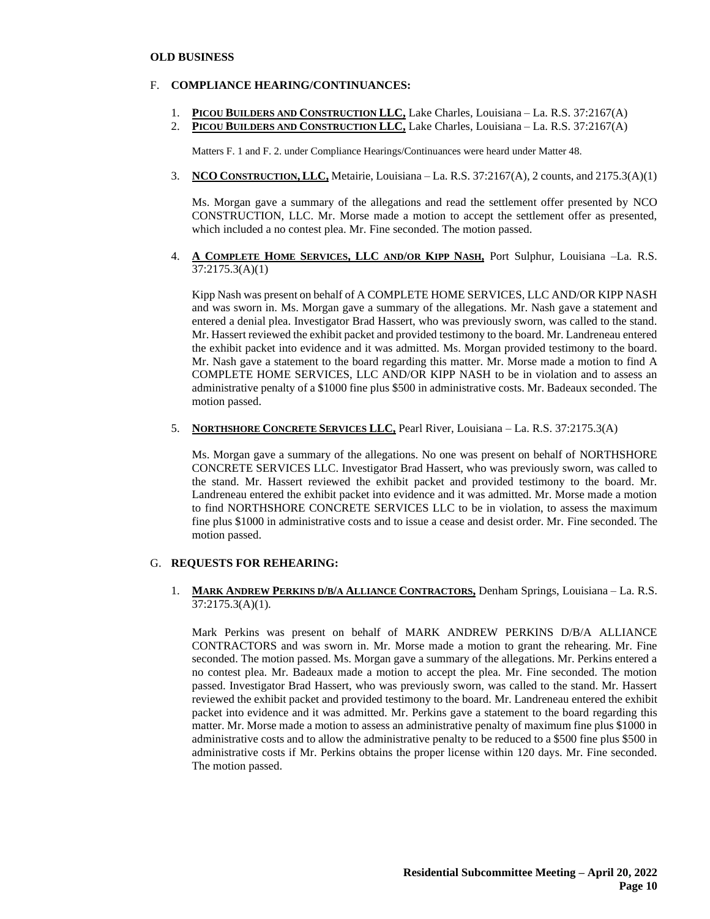#### **OLD BUSINESS**

### F. **COMPLIANCE HEARING/CONTINUANCES:**

- 1. **PICOU BUILDERS AND CONSTRUCTION LLC,** Lake Charles, Louisiana La. R.S. 37:2167(A)
- 2. **PICOU BUILDERS AND CONSTRUCTION LLC,** Lake Charles, Louisiana La. R.S. 37:2167(A)

Matters F. 1 and F. 2. under Compliance Hearings/Continuances were heard under Matter 48.

3. **NCO CONSTRUCTION, LLC,** Metairie, Louisiana – La. R.S. 37:2167(A), 2 counts, and 2175.3(A)(1)

Ms. Morgan gave a summary of the allegations and read the settlement offer presented by NCO CONSTRUCTION, LLC. Mr. Morse made a motion to accept the settlement offer as presented, which included a no contest plea. Mr. Fine seconded. The motion passed.

4. **A COMPLETE HOME SERVICES, LLC AND/OR KIPP NASH,** Port Sulphur, Louisiana –La. R.S. 37:2175.3(A)(1)

Kipp Nash was present on behalf of A COMPLETE HOME SERVICES, LLC AND/OR KIPP NASH and was sworn in. Ms. Morgan gave a summary of the allegations. Mr. Nash gave a statement and entered a denial plea. Investigator Brad Hassert, who was previously sworn, was called to the stand. Mr. Hassert reviewed the exhibit packet and provided testimony to the board. Mr. Landreneau entered the exhibit packet into evidence and it was admitted. Ms. Morgan provided testimony to the board. Mr. Nash gave a statement to the board regarding this matter. Mr. Morse made a motion to find A COMPLETE HOME SERVICES, LLC AND/OR KIPP NASH to be in violation and to assess an administrative penalty of a \$1000 fine plus \$500 in administrative costs. Mr. Badeaux seconded. The motion passed.

5. **NORTHSHORE CONCRETE SERVICES LLC,** Pearl River, Louisiana – La. R.S. 37:2175.3(A)

Ms. Morgan gave a summary of the allegations. No one was present on behalf of NORTHSHORE CONCRETE SERVICES LLC. Investigator Brad Hassert, who was previously sworn, was called to the stand. Mr. Hassert reviewed the exhibit packet and provided testimony to the board. Mr. Landreneau entered the exhibit packet into evidence and it was admitted. Mr. Morse made a motion to find NORTHSHORE CONCRETE SERVICES LLC to be in violation, to assess the maximum fine plus \$1000 in administrative costs and to issue a cease and desist order. Mr. Fine seconded. The motion passed.

#### G. **REQUESTS FOR REHEARING:**

1. **MARK ANDREW PERKINS D/B/A ALLIANCE CONTRACTORS,** Denham Springs, Louisiana – La. R.S. 37:2175.3(A)(1).

Mark Perkins was present on behalf of MARK ANDREW PERKINS D/B/A ALLIANCE CONTRACTORS and was sworn in. Mr. Morse made a motion to grant the rehearing. Mr. Fine seconded. The motion passed. Ms. Morgan gave a summary of the allegations. Mr. Perkins entered a no contest plea. Mr. Badeaux made a motion to accept the plea. Mr. Fine seconded. The motion passed. Investigator Brad Hassert, who was previously sworn, was called to the stand. Mr. Hassert reviewed the exhibit packet and provided testimony to the board. Mr. Landreneau entered the exhibit packet into evidence and it was admitted. Mr. Perkins gave a statement to the board regarding this matter. Mr. Morse made a motion to assess an administrative penalty of maximum fine plus \$1000 in administrative costs and to allow the administrative penalty to be reduced to a \$500 fine plus \$500 in administrative costs if Mr. Perkins obtains the proper license within 120 days. Mr. Fine seconded. The motion passed.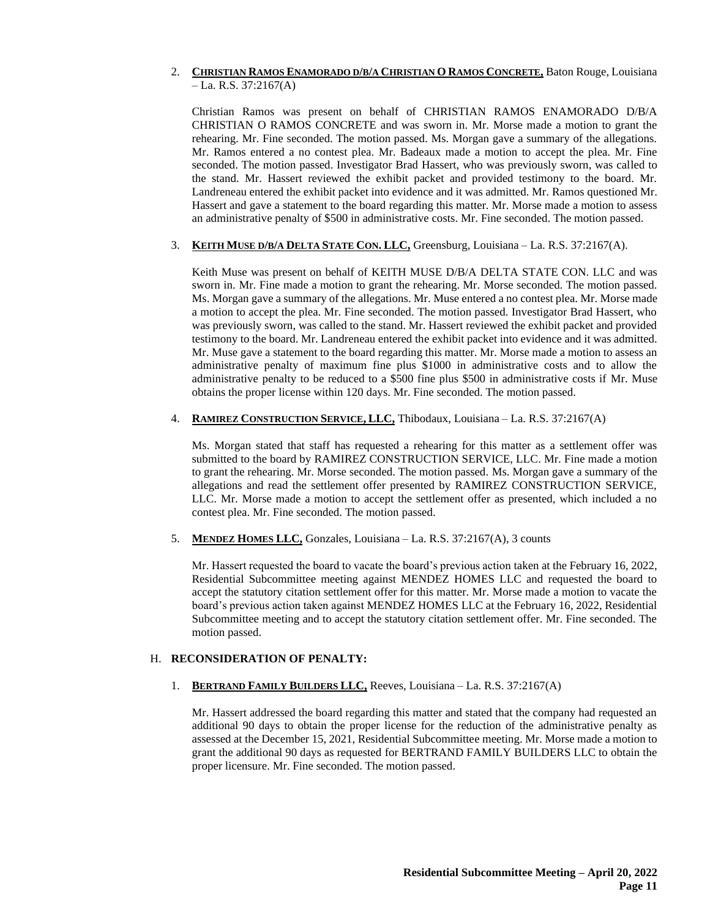# 2. **CHRISTIAN RAMOS ENAMORADO D/B/A CHRISTIAN O RAMOS CONCRETE,** Baton Rouge, Louisiana  $-La. R.S. 37:2167(A)$

Christian Ramos was present on behalf of CHRISTIAN RAMOS ENAMORADO D/B/A CHRISTIAN O RAMOS CONCRETE and was sworn in. Mr. Morse made a motion to grant the rehearing. Mr. Fine seconded. The motion passed. Ms. Morgan gave a summary of the allegations. Mr. Ramos entered a no contest plea. Mr. Badeaux made a motion to accept the plea. Mr. Fine seconded. The motion passed. Investigator Brad Hassert, who was previously sworn, was called to the stand. Mr. Hassert reviewed the exhibit packet and provided testimony to the board. Mr. Landreneau entered the exhibit packet into evidence and it was admitted. Mr. Ramos questioned Mr. Hassert and gave a statement to the board regarding this matter. Mr. Morse made a motion to assess an administrative penalty of \$500 in administrative costs. Mr. Fine seconded. The motion passed.

# 3. **KEITH MUSE D/B/A DELTA STATE CON. LLC,** Greensburg, Louisiana – La. R.S. 37:2167(A).

Keith Muse was present on behalf of KEITH MUSE D/B/A DELTA STATE CON. LLC and was sworn in. Mr. Fine made a motion to grant the rehearing. Mr. Morse seconded. The motion passed. Ms. Morgan gave a summary of the allegations. Mr. Muse entered a no contest plea. Mr. Morse made a motion to accept the plea. Mr. Fine seconded. The motion passed. Investigator Brad Hassert, who was previously sworn, was called to the stand. Mr. Hassert reviewed the exhibit packet and provided testimony to the board. Mr. Landreneau entered the exhibit packet into evidence and it was admitted. Mr. Muse gave a statement to the board regarding this matter. Mr. Morse made a motion to assess an administrative penalty of maximum fine plus \$1000 in administrative costs and to allow the administrative penalty to be reduced to a \$500 fine plus \$500 in administrative costs if Mr. Muse obtains the proper license within 120 days. Mr. Fine seconded. The motion passed.

#### 4. **RAMIREZ CONSTRUCTION SERVICE, LLC,** Thibodaux, Louisiana – La. R.S. 37:2167(A)

Ms. Morgan stated that staff has requested a rehearing for this matter as a settlement offer was submitted to the board by RAMIREZ CONSTRUCTION SERVICE, LLC. Mr. Fine made a motion to grant the rehearing. Mr. Morse seconded. The motion passed. Ms. Morgan gave a summary of the allegations and read the settlement offer presented by RAMIREZ CONSTRUCTION SERVICE, LLC. Mr. Morse made a motion to accept the settlement offer as presented, which included a no contest plea. Mr. Fine seconded. The motion passed.

5. **MENDEZ HOMES LLC,** Gonzales, Louisiana – La. R.S. 37:2167(A), 3 counts

Mr. Hassert requested the board to vacate the board's previous action taken at the February 16, 2022, Residential Subcommittee meeting against MENDEZ HOMES LLC and requested the board to accept the statutory citation settlement offer for this matter. Mr. Morse made a motion to vacate the board's previous action taken against MENDEZ HOMES LLC at the February 16, 2022, Residential Subcommittee meeting and to accept the statutory citation settlement offer. Mr. Fine seconded. The motion passed.

#### H. **RECONSIDERATION OF PENALTY:**

# 1. **BERTRAND FAMILY BUILDERS LLC,** Reeves, Louisiana – La. R.S. 37:2167(A)

Mr. Hassert addressed the board regarding this matter and stated that the company had requested an additional 90 days to obtain the proper license for the reduction of the administrative penalty as assessed at the December 15, 2021, Residential Subcommittee meeting. Mr. Morse made a motion to grant the additional 90 days as requested for BERTRAND FAMILY BUILDERS LLC to obtain the proper licensure. Mr. Fine seconded. The motion passed.